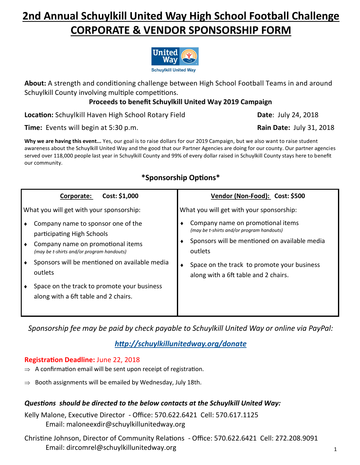# **2nd Annual Schuylkill United Way High School Football Challenge CORPORATE & VENDOR SPONSORSHIP FORM**



**About:** A strength and conditioning challenge between High School Football Teams in and around Schuylkill County involving multiple competitions.

### **Proceeds to benefit Schuylkill United Way 2019 Campaign**

**Location:** Schuylkill Haven High School Rotary Field **Date:** July 24, 2018

**Time:** Events will begin at 5:30 p.m. **Rain Date:** July 31, 2018

**Why we are having this event...** Yes, our goal is to raise dollars for our 2019 Campaign, but we also want to raise student awareness about the Schuylkill United Way and the good that our Partner Agencies are doing for our county. Our partner agencies served over 118,000 people last year in Schuylkill County and 99% of every dollar raised in Schuylkill County stays here to benefit our community.

### **\*Sponsorship Options\***

|                                          | Cost: \$1,000<br>Corporate:                                                                                                                        | Vendor (Non-Food): Cost: \$500                                                                                                             |
|------------------------------------------|----------------------------------------------------------------------------------------------------------------------------------------------------|--------------------------------------------------------------------------------------------------------------------------------------------|
| What you will get with your sponsorship: |                                                                                                                                                    | What you will get with your sponsorship:                                                                                                   |
|                                          | Company name to sponsor one of the<br>participating High Schools<br>Company name on promotional items<br>(may be t-shirts and/or program handouts) | Company name on promotional items<br>(may be t-shirts and/or program handouts)<br>Sponsors will be mentioned on available media<br>outlets |
|                                          | Sponsors will be mentioned on available media<br>outlets                                                                                           | Space on the track to promote your business<br>along with a 6ft table and 2 chairs.                                                        |
|                                          | Space on the track to promote your business<br>along with a 6ft table and 2 chairs.                                                                |                                                                                                                                            |

*Sponsorship fee may be paid by check payable to Schuylkill United Way or online via PayPal:* 

## *<http://schuylkillunitedway.org/donate>*

#### **Registration Deadline:** June 22, 2018

- $\Rightarrow$  A confirmation email will be sent upon receipt of registration.
- $\Rightarrow$  Booth assignments will be emailed by Wednesday, July 18th.

#### *Questions should be directed to the below contacts at the Schuylkill United Way:*

Kelly Malone, Executive Director - Office: 570.622.6421 Cell: 570.617.1125 Email: maloneexdir@schuylkillunitedway.org

Christine Johnson, Director of Community Relations - Office: 570.622.6421 Cell: 272.208.9091 Email: dircomrel@schuylkillunitedway.org